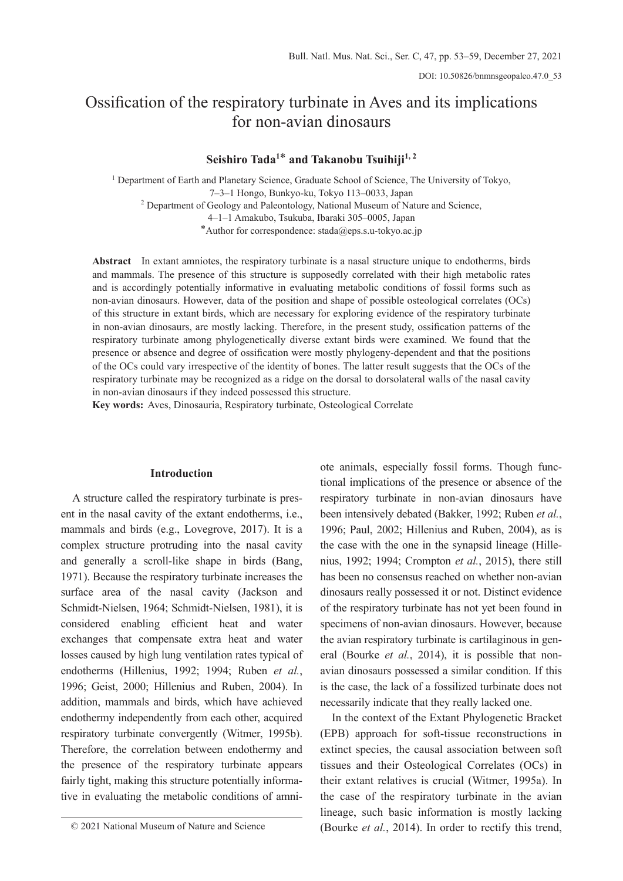# Ossification of the respiratory turbinate in Aves and its implications for non-avian dinosaurs

# **Seishiro Tada<sup>1</sup>**\* **and Takanobu Tsuihiji1, 2**

<sup>1</sup> Department of Earth and Planetary Science, Graduate School of Science, The University of Tokyo, 7–3–1 Hongo, Bunkyo-ku, Tokyo 113–0033, Japan <sup>2</sup> Department of Geology and Paleontology, National Museum of Nature and Science, 4–1–1 Amakubo, Tsukuba, Ibaraki 305–0005, Japan \*Author for correspondence: stada@eps.s.u-tokyo.ac.jp

**Abstract** In extant amniotes, the respiratory turbinate is a nasal structure unique to endotherms, birds and mammals. The presence of this structure is supposedly correlated with their high metabolic rates and is accordingly potentially informative in evaluating metabolic conditions of fossil forms such as non-avian dinosaurs. However, data of the position and shape of possible osteological correlates (OCs) of this structure in extant birds, which are necessary for exploring evidence of the respiratory turbinate in non-avian dinosaurs, are mostly lacking. Therefore, in the present study, ossification patterns of the respiratory turbinate among phylogenetically diverse extant birds were examined. We found that the presence or absence and degree of ossification were mostly phylogeny-dependent and that the positions of the OCs could vary irrespective of the identity of bones. The latter result suggests that the OCs of the respiratory turbinate may be recognized as a ridge on the dorsal to dorsolateral walls of the nasal cavity in non-avian dinosaurs if they indeed possessed this structure.

**Key words:** Aves, Dinosauria, Respiratory turbinate, Osteological Correlate

### **Introduction**

A structure called the respiratory turbinate is present in the nasal cavity of the extant endotherms, i.e., mammals and birds (e.g., Lovegrove, 2017). It is a complex structure protruding into the nasal cavity and generally a scroll-like shape in birds (Bang, 1971). Because the respiratory turbinate increases the surface area of the nasal cavity (Jackson and Schmidt-Nielsen, 1964; Schmidt-Nielsen, 1981), it is considered enabling efficient heat and water exchanges that compensate extra heat and water losses caused by high lung ventilation rates typical of endotherms (Hillenius, 1992; 1994; Ruben *et al.*, 1996; Geist, 2000; Hillenius and Ruben, 2004). In addition, mammals and birds, which have achieved endothermy independently from each other, acquired respiratory turbinate convergently (Witmer, 1995b). Therefore, the correlation between endothermy and the presence of the respiratory turbinate appears fairly tight, making this structure potentially informative in evaluating the metabolic conditions of amni-

ote animals, especially fossil forms. Though functional implications of the presence or absence of the respiratory turbinate in non-avian dinosaurs have been intensively debated (Bakker, 1992; Ruben *et al.*, 1996; Paul, 2002; Hillenius and Ruben, 2004), as is the case with the one in the synapsid lineage (Hillenius, 1992; 1994; Crompton *et al.*, 2015), there still has been no consensus reached on whether non-avian dinosaurs really possessed it or not. Distinct evidence of the respiratory turbinate has not yet been found in specimens of non-avian dinosaurs. However, because the avian respiratory turbinate is cartilaginous in general (Bourke *et al.*, 2014), it is possible that nonavian dinosaurs possessed a similar condition. If this is the case, the lack of a fossilized turbinate does not necessarily indicate that they really lacked one.

In the context of the Extant Phylogenetic Bracket (EPB) approach for soft-tissue reconstructions in extinct species, the causal association between soft tissues and their Osteological Correlates (OCs) in their extant relatives is crucial (Witmer, 1995a). In the case of the respiratory turbinate in the avian lineage, such basic information is mostly lacking © 2021 National Museum of Nature and Science (Bourke *et al.*, 2014). In order to rectify this trend,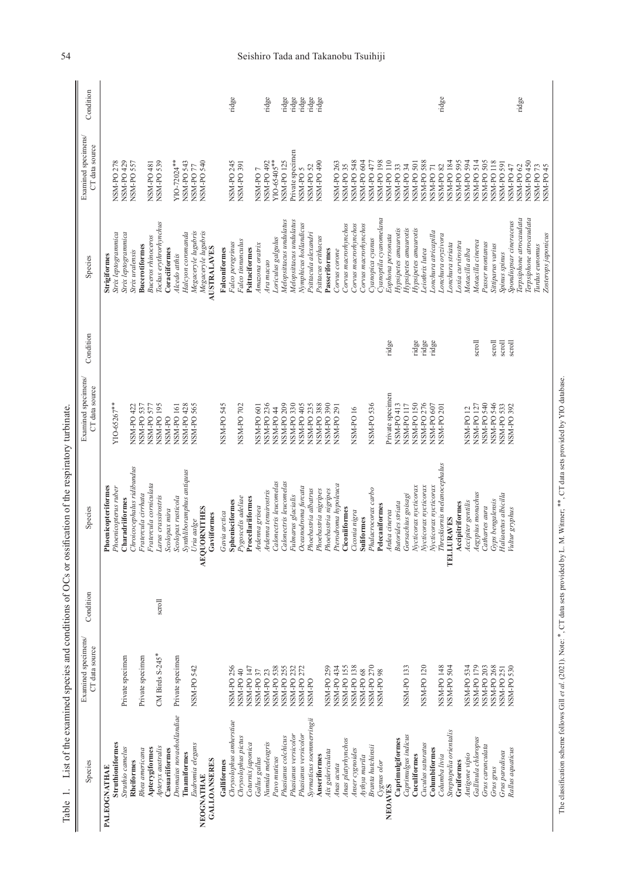| Species                              | Examined specimens/<br>CT data source | Condition | Species                                 | Examined specimens/<br>CT data source | Condition        | Species                                           | Examined specimens/<br>CT data source | Condition |
|--------------------------------------|---------------------------------------|-----------|-----------------------------------------|---------------------------------------|------------------|---------------------------------------------------|---------------------------------------|-----------|
| PALEOGNATHAE                         |                                       |           | Phoenicopteriformes                     |                                       |                  | Strigiformes                                      |                                       |           |
| Struthioniformes<br>Struthio camelus | Private specimen                      |           | Phoenicopterus ruber<br>Charadriiformes | YIO-65267**                           |                  | Strix leptogrammica<br>Strix leptogrammica        | <b>NSM-PO 278</b><br>NSM-PO 429       |           |
| Rheiformes                           |                                       |           | Chroicocephalus ridibundus              | NSM-PO 422                            |                  | Strix uralensis                                   | NSM-PO 557                            |           |
| Rhea americana                       | Private specimen                      |           | Fratercula cirrhata                     | NSM-PO 537                            |                  | <b>Bucerotiformes</b>                             |                                       |           |
| Apterygiformes                       |                                       |           | Fratercula corniculata                  | NSM-PO 577                            |                  | <b>Buceros</b> rhinoceros                         | NSM-PO 481                            |           |
| Apteryx australis<br>Casuariiformes  | CM Birds S-245*                       | scroll    | Larus crassirostris                     | NSM-PO 195<br>NSM-PO                  |                  | Tockus erythrorhynchus<br>Coraciiformes           | NSM-PO 539                            |           |
| Dromaius novaehollandiae             | Private specimen                      |           | Scolopax rusticola<br>Scolopax mira     | NSM-PO 161                            |                  | Alcedo athis                                      | YIO-72024**                           |           |
| Tinamiformes                         |                                       |           | Synthliboramphus antiquus               |                                       |                  | Halcyon coromanda                                 | NSM-PO 543                            |           |
| Eudromia elegans                     | NSM-PO 542                            |           | Uria aalge                              | NSM-PO 428<br>NSM-PO 565              |                  | Megaceryle lugubris                               | NSM-PO <sub>77</sub>                  |           |
| <b>GALLOANSERES</b><br>NEOGNATHAE    |                                       |           | AEQUORNITHES<br>Gaviiformes             |                                       |                  | Megaceryle lugubris<br><b>AUSTRALAVES</b>         | NSM-PO 540                            |           |
| Galliformes                          |                                       |           | Gavia arctica                           | NSM-PO 545                            |                  | Falconiformes                                     |                                       |           |
| Chrysolophus amherstiae              | NSM-PO 256                            |           | Sphenisciformes                         |                                       |                  | Falco peregrinus                                  | NSM-PO 245                            | ridge     |
| Chrysolophus pictus                  | NSM-PO 40                             |           | Pygoscelis adeliae                      | NSM-PO 702                            |                  | Falco tinnunculus                                 | <b>NSM-PO 391</b>                     |           |
| Coturnix japonica                    | NSM-PO 147                            |           | Procellariiformes                       |                                       |                  | Psittaciformes                                    |                                       |           |
| Gallus gallus                        | NSM-PO 37                             |           | Ardenna grisea                          | NSM-PO 601                            |                  | Amazona oratrix                                   | NSM-PO7                               |           |
| Numida meleagris                     | NSM-PO <sub>23</sub>                  |           | Ardenna tenuirostris                    | NSM-PO 236                            |                  | Ara macao                                         | NSM-PO 492                            | ridge     |
| Pavo muticus                         | <b>NSM-PO538</b>                      |           | Calonectris leucomelas                  | NSM-PO <sub>44</sub>                  |                  | Loriculus galgulus                                | YIO-65405**                           |           |
| Phasianus colchicus                  | NSM-PO 255                            |           | Calonectris leucomelas                  | NSM-PO <sub>209</sub>                 |                  | Melopsittacus undulatus                           | NSM-PO 125                            | ridge     |
| Phasianus versicolor                 | NSM-PO 232                            |           | Fulmarus glacialis                      | <b>NSM-PO330</b>                      |                  | Melopsittacus undulatus                           | Private specimen                      | ridge     |
| Phasianus versicolor                 | NSM-PO 272                            |           | Oceanodroma furcata                     | NSM-PO 405                            |                  | Nymphicus hollandicus                             | NSM-PO 5                              | ridge     |
| Syrmaticus soemmerringii             | NSM-PO                                |           | Phoebastria albatrus                    | NSM-PO 235                            |                  | Psittacula alexandri                              | <b>NSM-PO 52</b>                      | ridge     |
| Anseriformes                         |                                       |           | Phoebastria nigripes                    | <b>NSM-PO 388</b>                     |                  | Psittacus erithacus                               | <b>NSM-PO 490</b>                     | ridge     |
| Aix galericulata                     | NSM-PO 259                            |           | Phoebastria nigripes                    | NSM-PO 390                            |                  | Passeriformes                                     |                                       |           |
| Anas acuta                           | NSM-PO 434                            |           | Pterodroma hypoleuca                    | NSM-PO <sub>291</sub>                 |                  | Corvus corone                                     | NSM-PO 263                            |           |
| Anas platyrhynchos                   | NSM-PO 155                            |           | Ciconiiformes                           |                                       |                  | Corvus macrorhynchos                              | NSM-PO 35                             |           |
| Anser cygnoides<br>Aythya marila     | <b>NSM-PO138</b><br>NSM-PO 68         |           | Ciconia nigra<br><b>Suliformes</b>      | NSM-PO 16                             |                  | Corvus macrorhynchos<br>Corvus macrorhynchos      | NSM-PO 548<br>NSM-PO 604              |           |
| Branta hutchinsii                    | NSM-PO 270                            |           | Phalacrocorax carbo                     | NSM-PO 536                            |                  | Cyanopica cyanus                                  | NSM-PO 477                            |           |
| Cygnus olor                          | NSM-PO 98                             |           | Pelecaniformes                          |                                       |                  | Cyanoptila cyanomelana                            | NSM-PO 198                            |           |
| <b>NEOAVES</b>                       |                                       |           | Ardea cinerea                           | Private specimen                      | ridge            | Eophona personata                                 | NSM-PO <sub>110</sub>                 |           |
| Caprimulgiformes                     |                                       |           | <b>Butorides</b> striata                | NSM-PO 413                            |                  | Hypsipetes amaurotis                              | NSM-PO 33<br>NSM-PO 34                |           |
| Caprimulgus indicus                  | <b>NSM-PO133</b>                      |           | Gorsachius goisagi                      | NSM-PO <sub>117</sub>                 |                  | Hypsipetes amaurotis                              |                                       |           |
| Cuculiformes                         |                                       |           | Nycticorax nycticorax                   | NSM-PO 150                            | ridge            | Hypsipetes amaurotis                              | NSM-PO 501                            |           |
| Cuculus saturatus                    | NSM-PO 120                            |           | Nycticorax nycticorax                   | NSM-PO 276                            | ridge            | Leiothrix lutea                                   | NSM-PO 588<br>NSM-PO 71               |           |
| Columbiformes                        |                                       |           | Nycticorax nycticorax                   | NSM-PO 607                            | ridge            | Lonchura atricapilla                              |                                       |           |
| Columba livia                        | NSM-PO 148                            |           | Threskiornis melanocephalus             | NSM-PO <sub>201</sub>                 |                  | Lonchura oryzivora                                | NSM-PO 82                             | ridge     |
| Streptopelia orientalis              | NSM-PO 504                            |           | <b>LURAVES</b><br>E                     |                                       |                  | Lonchura striata                                  | NSM-PO 184<br>NSM-PO 595              |           |
| Gruiformes                           |                                       |           | Accipitriformes                         |                                       |                  | Loxia curvirostra                                 |                                       |           |
| Antigone vipio                       | NSM-PO 534                            |           | Accipiter gentilis                      | NSM-PO <sub>12</sub>                  |                  | Motacilla alba                                    | NSM-PO 594                            |           |
| Gallinula chloropus                  | NSM-PO 179                            |           | Aegypius monachus                       | <b>NSM-PO 127</b>                     | scroll           | Motacilla cinerea                                 | NSM-PO 514<br>NSM-PO 505              |           |
| Grus carunculata                     | <b>NSM-PO 203</b>                     |           | Cathartes aura                          | NSM-PO 540                            |                  | Passer montanus                                   |                                       |           |
| Grus grus                            | NSM-PO 268<br><b>NSM-PO 251</b>       |           | Gyps bengalensis                        | NSM-PO 546                            | scroll           | Sittiparus varius                                 | NSM-PO 118<br>NSM-PO 591              |           |
| Grus paradisea                       | NSM-PO 530                            |           | Haliaeetus albicilla                    | NSM-PO 533<br>NSM-PO 392              | scroll<br>scroll | Spinus spinus                                     | NSM-PO 47                             |           |
| Rallus aquaticus                     |                                       |           | Vultur gryphus                          |                                       |                  | Terpsiphone atrocaudata<br>Spondiopsar cineraceus | NSM-PO <sub>62</sub>                  | ridge     |
|                                      |                                       |           |                                         |                                       |                  | Terpsiphone atrocaudata                           | NSM-PO 450                            |           |
|                                      |                                       |           |                                         |                                       |                  | Turdus eunomus                                    |                                       |           |
|                                      |                                       |           |                                         |                                       |                  | Zosterops japonicus                               | NSM-PO 73<br>NSM-PO 45                |           |
|                                      |                                       |           |                                         |                                       |                  |                                                   |                                       |           |

## 54 Seishiro Tada and Takanobu Tsuihiji

The classification scheme follows Gill et al. (2021). Note: \*, CT data sets provided by L. M. Witmer; \*\*, CT data sets provided by YIO database. The classification scheme follows Gill *et al.* (2021). Note: \*, CT data sets provided by L. M. Witmer; \*\*, CT data sets provided by YIO database.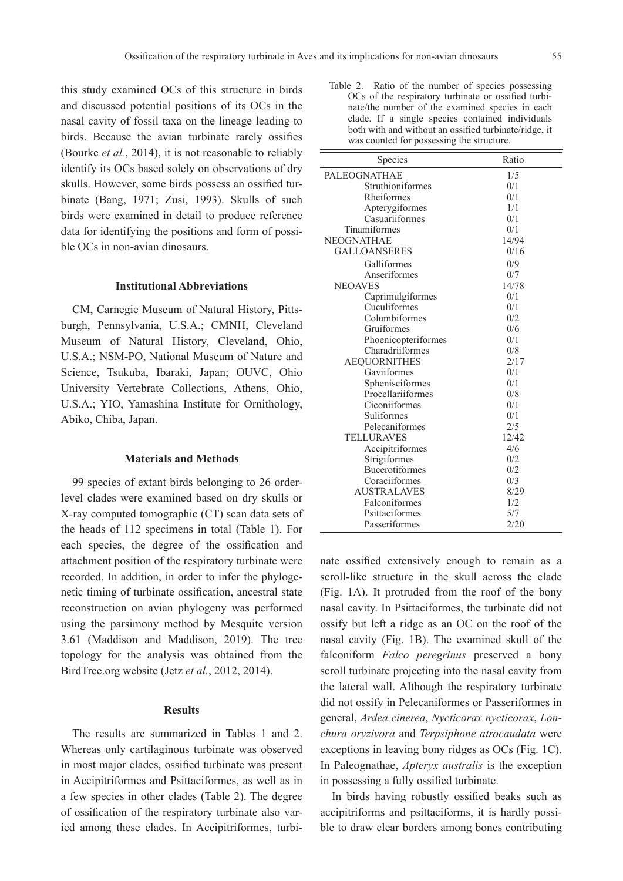this study examined OCs of this structure in birds and discussed potential positions of its OCs in the nasal cavity of fossil taxa on the lineage leading to birds. Because the avian turbinate rarely ossifies (Bourke *et al.*, 2014), it is not reasonable to reliably identify its OCs based solely on observations of dry skulls. However, some birds possess an ossified turbinate (Bang, 1971; Zusi, 1993). Skulls of such birds were examined in detail to produce reference data for identifying the positions and form of possible OCs in non-avian dinosaurs.

#### **Institutional Abbreviations**

CM, Carnegie Museum of Natural History, Pittsburgh, Pennsylvania, U.S.A.; CMNH, Cleveland Museum of Natural History, Cleveland, Ohio, U.S.A.; NSM-PO, National Museum of Nature and Science, Tsukuba, Ibaraki, Japan; OUVC, Ohio University Vertebrate Collections, Athens, Ohio, U.S.A.; YIO, Yamashina Institute for Ornithology, Abiko, Chiba, Japan.

### **Materials and Methods**

99 species of extant birds belonging to 26 orderlevel clades were examined based on dry skulls or X-ray computed tomographic (CT) scan data sets of the heads of 112 specimens in total (Table 1). For each species, the degree of the ossification and attachment position of the respiratory turbinate were recorded. In addition, in order to infer the phylogenetic timing of turbinate ossification, ancestral state reconstruction on avian phylogeny was performed using the parsimony method by Mesquite version 3.61 (Maddison and Maddison, 2019). The tree topology for the analysis was obtained from the BirdTree.org website (Jetz *et al.*, 2012, 2014).

#### **Results**

The results are summarized in Tables 1 and 2. Whereas only cartilaginous turbinate was observed in most major clades, ossified turbinate was present in Accipitriformes and Psittaciformes, as well as in a few species in other clades (Table 2). The degree of ossification of the respiratory turbinate also varied among these clades. In Accipitriformes, turbi-

Table 2. Ratio of the number of species possessing OCs of the respiratory turbinate or ossified turbinate/the number of the examined species in each clade. If a single species contained individuals both with and without an ossified turbinate/ridge, it was counted for possessing the structure.

| <b>Species</b>      | Ratio |
|---------------------|-------|
|                     |       |
| PALEOGNATHAE        | 1/5   |
| Struthioniformes    | 0/1   |
| Rheiformes          | 0/1   |
| Apterygiformes      | 1/1   |
| Casuariiformes      | 0/1   |
| Tinamiformes        | 0/1   |
| <b>NEOGNATHAE</b>   | 14/94 |
| <b>GALLOANSERES</b> | 0/16  |
| Galliformes         | 0/9   |
| Anseriformes        | 0/7   |
| <b>NEOAVES</b>      | 14/78 |
| Caprimulgiformes    | 0/1   |
| Cuculiformes        | 0/1   |
| Columbiformes       | 0/2   |
| Gruiformes          | 0/6   |
| Phoenicopteriformes | 0/1   |
| Charadriiformes     | 0/8   |
| <b>AEQUORNITHES</b> | 2/17  |
| Gaviiformes         | 0/1   |
| Sphenisciformes     | 0/1   |
| Procellariiformes   | 0/8   |
| Ciconiiformes       | 0/1   |
| Suliformes          | 0/1   |
| Pelecaniformes      | 2/5   |
| <b>TELLURAVES</b>   | 12/42 |
| Accipitriformes     | 4/6   |
| Strigiformes        | 0/2   |
| Bucerotiformes      | 0/2   |
| Coraciiformes       | 0/3   |
| AUSTRALAVES         | 8/29  |
| Falconiformes       | 1/2   |
| Psittaciformes      | 5/7   |
| Passeriformes       | 2/20  |

nate ossified extensively enough to remain as a scroll-like structure in the skull across the clade (Fig. 1A). It protruded from the roof of the bony nasal cavity. In Psittaciformes, the turbinate did not ossify but left a ridge as an OC on the roof of the nasal cavity (Fig. 1B). The examined skull of the falconiform *Falco peregrinus* preserved a bony scroll turbinate projecting into the nasal cavity from the lateral wall. Although the respiratory turbinate did not ossify in Pelecaniformes or Passeriformes in general, *Ardea cinerea*, *Nycticorax nycticorax*, *Lonchura oryzivora* and *Terpsiphone atrocaudata* were exceptions in leaving bony ridges as OCs (Fig. 1C). In Paleognathae, *Apteryx australis* is the exception in possessing a fully ossified turbinate.

In birds having robustly ossified beaks such as accipitriforms and psittaciforms, it is hardly possible to draw clear borders among bones contributing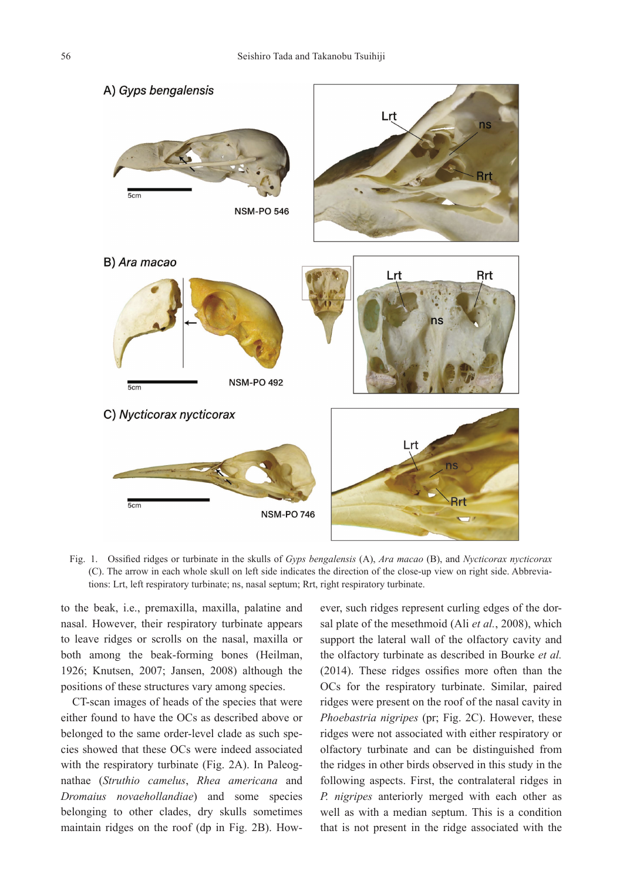

Fig. 1. Ossified ridges or turbinate in the skulls of *Gyps bengalensis* (A), *Ara macao* (B), and *Nycticorax nycticorax* (C). The arrow in each whole skull on left side indicates the direction of the close-up view on right side. Abbreviations: Lrt, left respiratory turbinate; ns, nasal septum; Rrt, right respiratory turbinate.

to the beak, i.e., premaxilla, maxilla, palatine and nasal. However, their respiratory turbinate appears to leave ridges or scrolls on the nasal, maxilla or both among the beak-forming bones (Heilman, 1926; Knutsen, 2007; Jansen, 2008) although the positions of these structures vary among species.

CT-scan images of heads of the species that were either found to have the OCs as described above or belonged to the same order-level clade as such species showed that these OCs were indeed associated with the respiratory turbinate (Fig. 2A). In Paleognathae (*Struthio camelus*, *Rhea americana* and *Dromaius novaehollandiae*) and some species belonging to other clades, dry skulls sometimes maintain ridges on the roof (dp in Fig. 2B). However, such ridges represent curling edges of the dorsal plate of the mesethmoid (Ali *et al.*, 2008), which support the lateral wall of the olfactory cavity and the olfactory turbinate as described in Bourke *et al.* (2014). These ridges ossifies more often than the OCs for the respiratory turbinate. Similar, paired ridges were present on the roof of the nasal cavity in *Phoebastria nigripes* (pr; Fig. 2C). However, these ridges were not associated with either respiratory or olfactory turbinate and can be distinguished from the ridges in other birds observed in this study in the following aspects. First, the contralateral ridges in *P. nigripes* anteriorly merged with each other as well as with a median septum. This is a condition that is not present in the ridge associated with the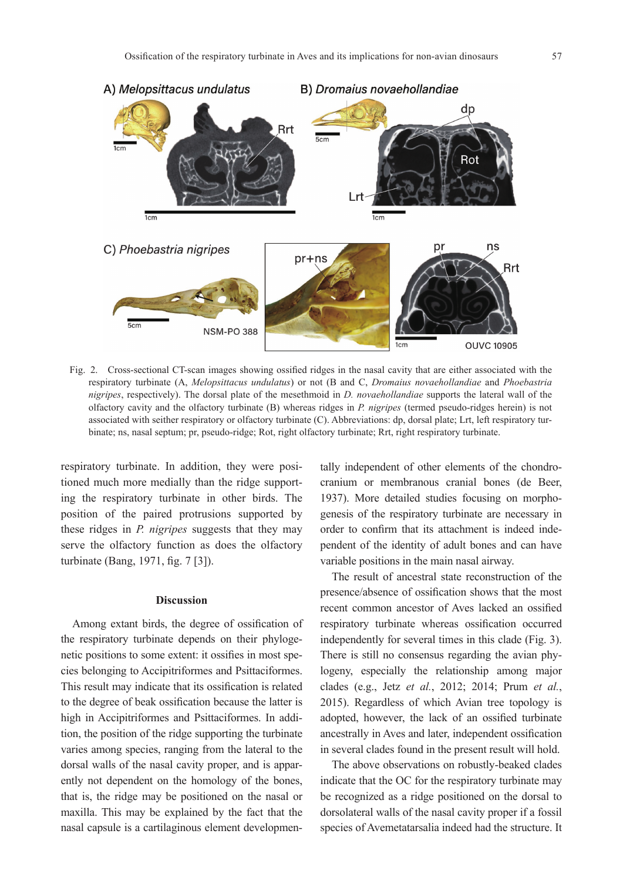

Fig. 2. Cross-sectional CT-scan images showing ossified ridges in the nasal cavity that are either associated with the respiratory turbinate (A, *Melopsittacus undulatus*) or not (B and C, *Dromaius novaehollandiae* and *Phoebastria nigripes*, respectively). The dorsal plate of the mesethmoid in *D. novaehollandiae* supports the lateral wall of the olfactory cavity and the olfactory turbinate (B) whereas ridges in *P. nigripes* (termed pseudo-ridges herein) is not associated with seither respiratory or olfactory turbinate (C). Abbreviations: dp, dorsal plate; Lrt, left respiratory turbinate; ns, nasal septum; pr, pseudo-ridge; Rot, right olfactory turbinate; Rrt, right respiratory turbinate.

respiratory turbinate. In addition, they were positioned much more medially than the ridge supporting the respiratory turbinate in other birds. The position of the paired protrusions supported by these ridges in *P. nigripes* suggests that they may serve the olfactory function as does the olfactory turbinate (Bang, 1971, fig. 7 [3]).

## **Discussion**

Among extant birds, the degree of ossification of the respiratory turbinate depends on their phylogenetic positions to some extent: it ossifies in most species belonging to Accipitriformes and Psittaciformes. This result may indicate that its ossification is related to the degree of beak ossification because the latter is high in Accipitriformes and Psittaciformes. In addition, the position of the ridge supporting the turbinate varies among species, ranging from the lateral to the dorsal walls of the nasal cavity proper, and is apparently not dependent on the homology of the bones, that is, the ridge may be positioned on the nasal or maxilla. This may be explained by the fact that the nasal capsule is a cartilaginous element developmentally independent of other elements of the chondrocranium or membranous cranial bones (de Beer, 1937). More detailed studies focusing on morphogenesis of the respiratory turbinate are necessary in order to confirm that its attachment is indeed independent of the identity of adult bones and can have variable positions in the main nasal airway.

The result of ancestral state reconstruction of the presence/absence of ossification shows that the most recent common ancestor of Aves lacked an ossified respiratory turbinate whereas ossification occurred independently for several times in this clade (Fig. 3). There is still no consensus regarding the avian phylogeny, especially the relationship among major clades (e.g., Jetz *et al.*, 2012; 2014; Prum *et al.*, 2015). Regardless of which Avian tree topology is adopted, however, the lack of an ossified turbinate ancestrally in Aves and later, independent ossification in several clades found in the present result will hold.

The above observations on robustly-beaked clades indicate that the OC for the respiratory turbinate may be recognized as a ridge positioned on the dorsal to dorsolateral walls of the nasal cavity proper if a fossil species of Avemetatarsalia indeed had the structure. It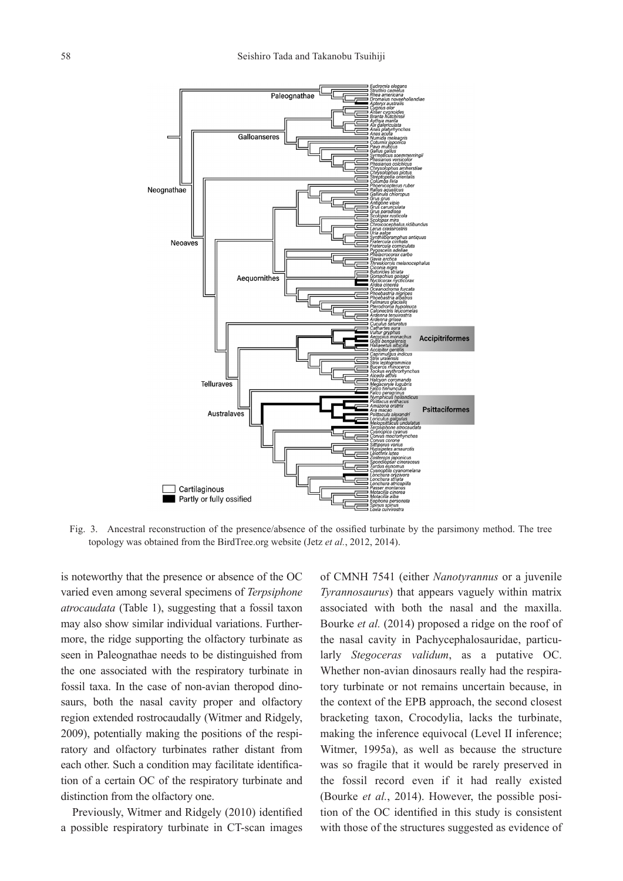

Fig. 3. Ancestral reconstruction of the presence/absence of the ossified turbinate by the parsimony method. The tree topology was obtained from the BirdTree.org website (Jetz *et al.*, 2012, 2014).

is noteworthy that the presence or absence of the OC varied even among several specimens of *Terpsiphone atrocaudata* (Table 1), suggesting that a fossil taxon may also show similar individual variations. Furthermore, the ridge supporting the olfactory turbinate as seen in Paleognathae needs to be distinguished from the one associated with the respiratory turbinate in fossil taxa. In the case of non-avian theropod dinosaurs, both the nasal cavity proper and olfactory region extended rostrocaudally (Witmer and Ridgely, 2009), potentially making the positions of the respiratory and olfactory turbinates rather distant from each other. Such a condition may facilitate identification of a certain OC of the respiratory turbinate and distinction from the olfactory one.

Previously, Witmer and Ridgely (2010) identified a possible respiratory turbinate in CT-scan images of CMNH 7541 (either *Nanotyrannus* or a juvenile *Tyrannosaurus*) that appears vaguely within matrix associated with both the nasal and the maxilla. Bourke *et al.* (2014) proposed a ridge on the roof of the nasal cavity in Pachycephalosauridae, particularly *Stegoceras validum*, as a putative OC. Whether non-avian dinosaurs really had the respiratory turbinate or not remains uncertain because, in the context of the EPB approach, the second closest bracketing taxon, Crocodylia, lacks the turbinate, making the inference equivocal (Level II inference; Witmer, 1995a), as well as because the structure was so fragile that it would be rarely preserved in the fossil record even if it had really existed (Bourke *et al.*, 2014). However, the possible position of the OC identified in this study is consistent with those of the structures suggested as evidence of